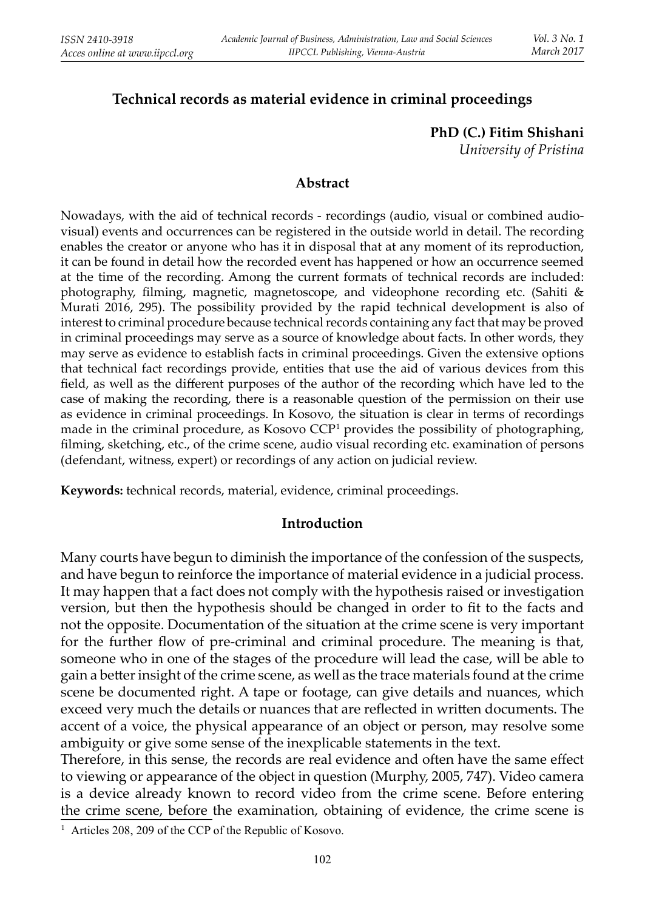# **Technical records as material evidence in criminal proceedings**

**PhD (C.) Fitim Shishani**

*University of Pristina*

### **Abstract**

Nowadays, with the aid of technical records - recordings (audio, visual or combined audiovisual) events and occurrences can be registered in the outside world in detail. The recording enables the creator or anyone who has it in disposal that at any moment of its reproduction, it can be found in detail how the recorded event has happened or how an occurrence seemed at the time of the recording. Among the current formats of technical records are included: photography, filming, magnetic, magnetoscope, and videophone recording etc. (Sahiti  $\&$ Murati 2016, 295). The possibility provided by the rapid technical development is also of interest to criminal procedure because technical records containing any fact that may be proved in criminal proceedings may serve as a source of knowledge about facts. In other words, they may serve as evidence to establish facts in criminal proceedings. Given the extensive options that technical fact recordings provide, entities that use the aid of various devices from this field, as well as the different purposes of the author of the recording which have led to the case of making the recording, there is a reasonable question of the permission on their use as evidence in criminal proceedings. In Kosovo, the situation is clear in terms of recordings made in the criminal procedure, as Kosovo CCP<sup>1</sup> provides the possibility of photographing, filming, sketching, etc., of the crime scene, audio visual recording etc. examination of persons (defendant, witness, expert) or recordings of any action on judicial review.

**Keywords:** technical records, material, evidence, criminal proceedings.

## **Introduction**

Many courts have begun to diminish the importance of the confession of the suspects, and have begun to reinforce the importance of material evidence in a judicial process. It may happen that a fact does not comply with the hypothesis raised or investigation version, but then the hypothesis should be changed in order to fit to the facts and not the opposite. Documentation of the situation at the crime scene is very important for the further flow of pre-criminal and criminal procedure. The meaning is that, someone who in one of the stages of the procedure will lead the case, will be able to gain a better insight of the crime scene, as well as the trace materials found at the crime scene be documented right. A tape or footage, can give details and nuances, which exceed very much the details or nuances that are reflected in written documents. The accent of a voice, the physical appearance of an object or person, may resolve some ambiguity or give some sense of the inexplicable statements in the text.

Therefore, in this sense, the records are real evidence and often have the same effect to viewing or appearance of the object in question (Murphy, 2005, 747). Video camera is a device already known to record video from the crime scene. Before entering the crime scene, before the examination, obtaining of evidence, the crime scene is

<sup>1</sup> Articles 208, 209 of the CCP of the Republic of Kosovo.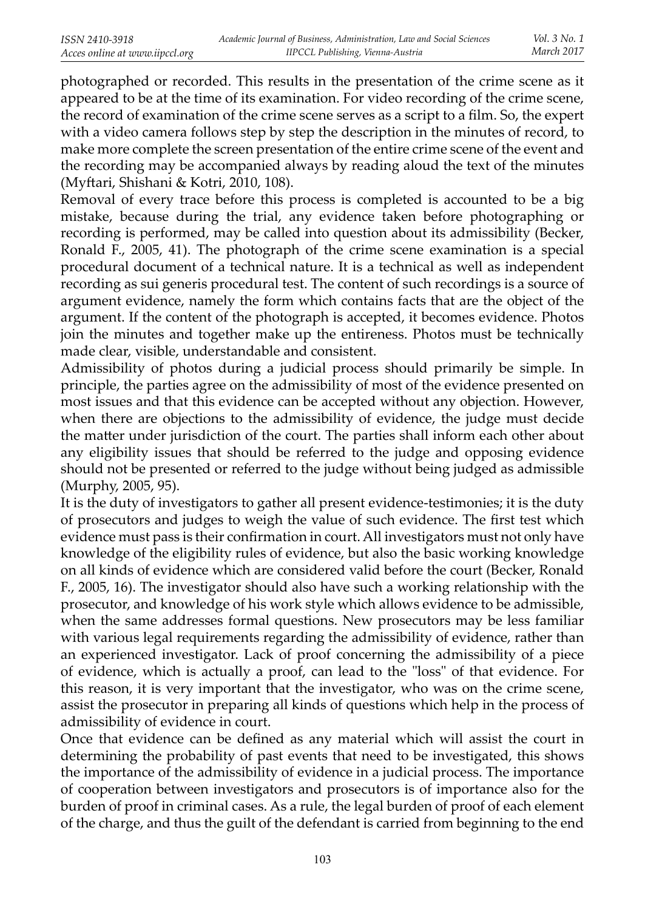photographed or recorded. This results in the presentation of the crime scene as it appeared to be at the time of its examination. For video recording of the crime scene, the record of examination of the crime scene serves as a script to a film. So, the expert with a video camera follows step by step the description in the minutes of record, to make more complete the screen presentation of the entire crime scene of the event and the recording may be accompanied always by reading aloud the text of the minutes(Myftari, Shishani & Kotri, 2010, 108).

Removal of every trace before this process is completed is accounted to be a big mistake, because during the trial, any evidence taken before photographing or recording is performed, may be called into question about its admissibility (Becker, Ronald F., 2005, 41). The photograph of the crime scene examination is a special procedural document of a technical nature. It is a technical as well as independent recording as sui generis procedural test. The content of such recordings is a source of argument evidence, namely the form which contains facts that are the object of the argument. If the content of the photograph is accepted, it becomes evidence. Photos join the minutes and together make up the entireness. Photos must be technically made clear, visible, understandable and consistent.

Admissibility of photos during a judicial process should primarily be simple. In principle, the parties agree on the admissibility of most of the evidence presented on most issues and that this evidence can be accepted without any objection. However, when there are objections to the admissibility of evidence, the judge must decide the matter under jurisdiction of the court. The parties shall inform each other about any eligibility issues that should be referred to the judge and opposing evidence should not be presented or referred to the judge without being judged as admissible (Murphy, 2005, 95).

It is the duty of investigators to gather all present evidence-testimonies; it is the duty of prosecutors and judges to weigh the value of such evidence. The first test which evidence must pass is their confirmation in court. All investigators must not only have knowledge of the eligibility rules of evidence, but also the basic working knowledge on all kinds of evidence which are considered valid before the court (Becker, Ronald F., 2005, 16). The investigator should also have such a working relationship with the prosecutor, and knowledge of his work style which allows evidence to be admissible, when the same addresses formal questions. New prosecutors may be less familiar with various legal requirements regarding the admissibility of evidence, rather than an experienced investigator. Lack of proof concerning the admissibility of a piece of evidence, which is actually a proof, can lead to the "loss" of that evidence. For this reason, it is very important that the investigator, who was on the crime scene, assist the prosecutor in preparing all kinds of questions which help in the process of admissibility of evidence in court.

Once that evidence can be defined as any material which will assist the court in determining the probability of past events that need to be investigated, this shows the importance of the admissibility of evidence in a judicial process. The importance of cooperation between investigators and prosecutors is of importance also for the burden of proof in criminal cases. As a rule, the legal burden of proof of each element of the charge, and thus the guilt of the defendant is carried from beginning to the end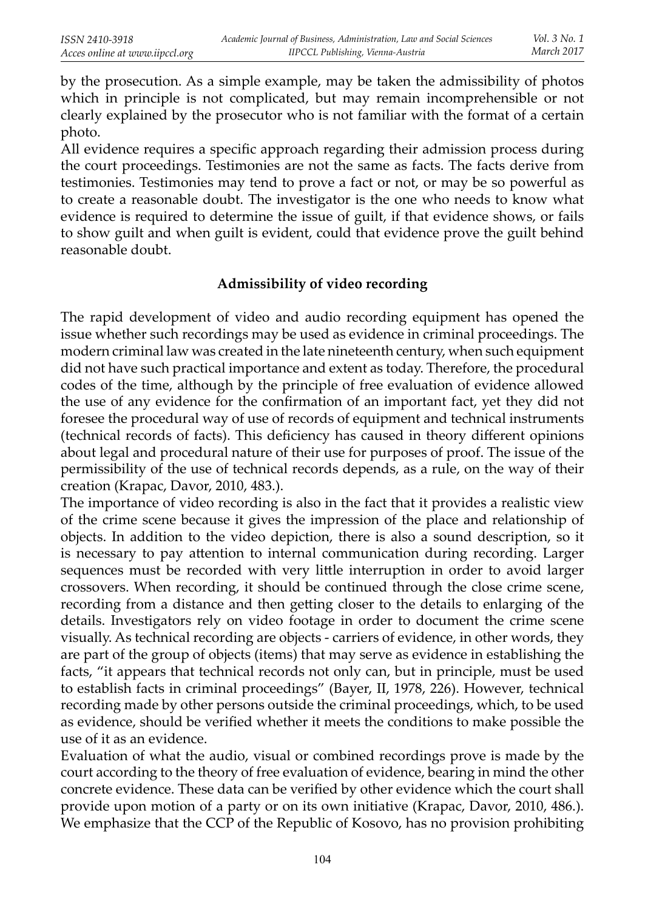by the prosecution. As a simple example, may be taken the admissibility of photos which in principle is not complicated, but may remain incomprehensible or not clearly explained by the prosecutor who is not familiar with the format of a certain photo.

All evidence requires a specific approach regarding their admission process during the court proceedings. Testimonies are not the same as facts. The facts derive from testimonies. Testimonies may tend to prove a fact or not, or may be so powerful as to create a reasonable doubt. The investigator is the one who needs to know what evidence is required to determine the issue of guilt, if that evidence shows, or fails to show guilt and when guilt is evident, could that evidence prove the guilt behind reasonable doubt.

## **Admissibility of video recording**

The rapid development of video and audio recording equipment has opened the issue whether such recordings may be used as evidence in criminal proceedings. The modern criminal law was created in the late nineteenth century, when such equipment did not have such practical importance and extent as today. Therefore, the procedural codes of the time, although by the principle of free evaluation of evidence allowed the use of any evidence for the confirmation of an important fact, yet they did not foresee the procedural way of use of records of equipment and technical instruments (technical records of facts). This deficiency has caused in theory different opinions about legal and procedural nature of their use for purposes of proof. The issue of the permissibility of the use of technical records depends, as a rule, on the way of their creation (Krapac, Davor, 2010, 483.).

The importance of video recording is also in the fact that it provides a realistic view of the crime scene because it gives the impression of the place and relationship of objects. In addition to the video depiction, there is also a sound description, so it is necessary to pay attention to internal communication during recording. Larger sequences must be recorded with very little interruption in order to avoid larger crossovers. When recording, it should be continued through the close crime scene, recording from a distance and then getting closer to the details to enlarging of the details. Investigators rely on video footage in order to document the crime scene visually. As technical recording are objects - carriers of evidence, in other words, they are part of the group of objects (items) that may serve as evidence in establishing the facts, "it appears that technical records not only can, but in principle, must be used to establish facts in criminal proceedings" (Bayer, II, 1978, 226). However, technical recording made by other persons outside the criminal proceedings, which, to be used as evidence, should be verified whether it meets the conditions to make possible the use of it as an evidence.

Evaluation of what the audio, visual or combined recordings prove is made by the court according to the theory of free evaluation of evidence, bearing in mind the other concrete evidence. These data can be verified by other evidence which the court shall provide upon motion of a party or on its own initiative (Krapac, Davor, 2010, 486.). We emphasize that the CCP of the Republic of Kosovo, has no provision prohibiting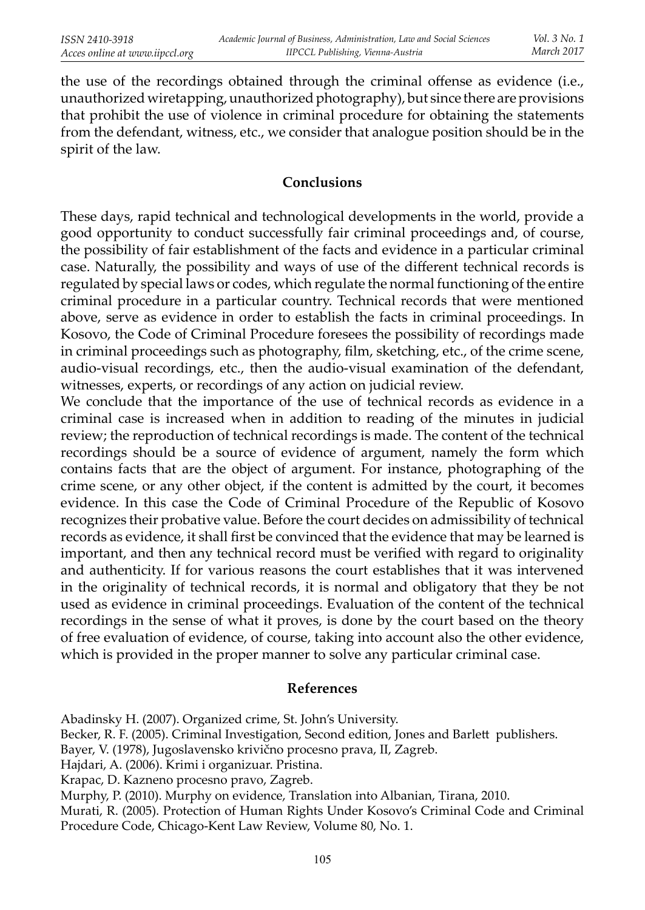the use of the recordings obtained through the criminal offense as evidence (i.e., unauthorized wiretapping, unauthorized photography), but since there are provisions that prohibit the use of violence in criminal procedure for obtaining the statements from the defendant, witness, etc., we consider that analogue position should be in the spirit of the law.

## **Conclusions**

These days, rapid technical and technological developments in the world, provide a good opportunity to conduct successfully fair criminal proceedings and, of course, the possibility of fair establishment of the facts and evidence in a particular criminal case. Naturally, the possibility and ways of use of the different technical records is regulated by special laws or codes, which regulate the normal functioning of the entire criminal procedure in a particular country. Technical records that were mentioned above, serve as evidence in order to establish the facts in criminal proceedings. In Kosovo, the Code of Criminal Procedure foresees the possibility of recordings made in criminal proceedings such as photography, film, sketching, etc., of the crime scene, audio-visual recordings, etc., then the audio-visual examination of the defendant, witnesses, experts, or recordings of any action on judicial review.

We conclude that the importance of the use of technical records as evidence in a criminal case is increased when in addition to reading of the minutes in judicial review; the reproduction of technical recordings is made. The content of the technical recordings should be a source of evidence of argument, namely the form which contains facts that are the object of argument. For instance, photographing of the crime scene, or any other object, if the content is admitted by the court, it becomes evidence. In this case the Code of Criminal Procedure of the Republic of Kosovo recognizes their probative value. Before the court decides on admissibility of technical records as evidence, it shall first be convinced that the evidence that may be learned is important, and then any technical record must be verified with regard to originality and authenticity. If for various reasons the court establishes that it was intervened in the originality of technical records, it is normal and obligatory that they be not used as evidence in criminal proceedings. Evaluation of the content of the technical recordings in the sense of what it proves, is done by the court based on the theory of free evaluation of evidence, of course, taking into account also the other evidence, which is provided in the proper manner to solve any particular criminal case.

#### **References**

Abadinsky H. (2007). Organized crime, St. John's University. Becker, R. F. (2005). Criminal Investigation, Second edition, Jones and Barlett publishers. Bayer, V. (1978), Jugoslavensko krivično procesno prava, II, Zagreb. Hajdari, A. (2006). Krimi i organizuar. Pristina. Krapac, D. Kazneno procesno pravo, Zagreb. Murphy, P. (2010). Murphy on evidence, Translation into Albanian, Tirana, 2010. Murati, R. (2005). Protection of Human Rights Under Kosovo's Criminal Code and Criminal Procedure Code, Chicago-Kent Law Review, Volume 80, No. 1.